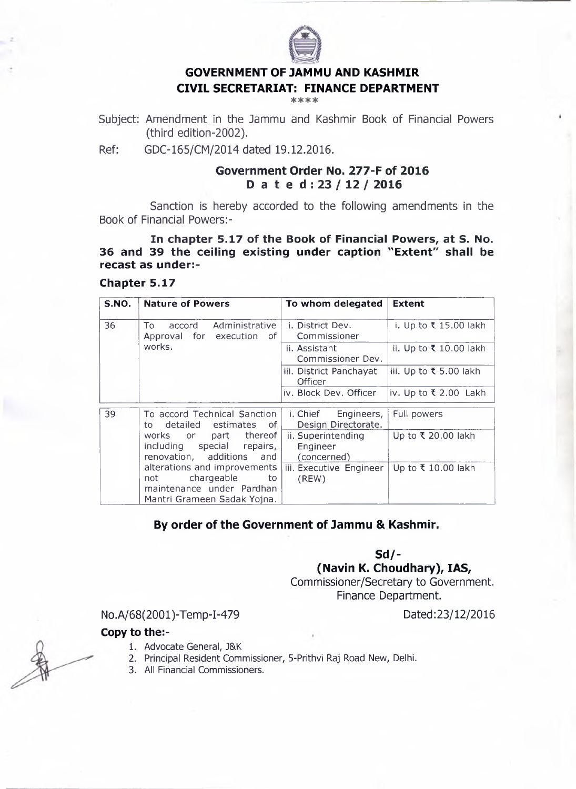

#### **GOVERNMENT OF JAMMU AND KASHMIR CIVIL SECRETARIAT: FINANCE DEPARTMENT** \* \* \* \*

Subject: Amendment in the Jammu and Kashmir Book of Financial Powers (third edition-2002).

Ref: GDC-165/CM/2014 dated 19.12.2016.

## **Government Order No. 277-F of 2016 Dated: 23/ 12/ 2016**

Sanction is hereby accorded to the following amendments in the Book of Financial Powers:-

**In chapter 5.17 of the Book of Financial Powers, at S. No. 36 and 39 the ceiling existing under caption "Extent" shall be recast as under:-**

## **Chapter 5.17**

| S.NO. | <b>Nature of Powers</b>                                                              | To whom delegated                             | <b>Extent</b>          |
|-------|--------------------------------------------------------------------------------------|-----------------------------------------------|------------------------|
| 36    | Administrative<br>To<br>accord<br>Approval for execution of                          | <i>i.</i> District Dev.<br>Commissioner       | i. Up to ₹ 15.00 lakh  |
|       | works.                                                                               | ii. Assistant<br>Commissioner Dev.            | ii. Up to ₹ 10.00 lakh |
|       |                                                                                      | iii. District Panchayat<br>Officer            | iii. Up to ₹ 5.00 lakh |
|       |                                                                                      | iv. Block Dev. Officer                        | iv. Up to ₹ 2.00 Lakh  |
| 39    | To accord Technical Sanction<br>detailed estimates<br>of<br>to                       | i. Chief<br>Engineers,<br>Design Directorate. | Full powers            |
|       | part thereof<br>works or<br>including special repairs,<br>renovation, additions and  | ii. Superintending<br>Engineer<br>(concerned) | Up to ₹ 20.00 lakh     |
|       | alterations and improvements<br>chargeable<br>to<br>not<br>maintenance under Pardhan | iii. Executive Engineer<br>(REW)              | Up to ₹ 10.00 lakh     |
|       | Mantri Grameen Sadak Yojna.                                                          |                                               |                        |

# **By order of the Government of Jammu & Kashmir.**

**Sd/-**

**(Navin K. Choudhary), IAS,**

Commissioner/Secretary to Government. Finance Department.

No.A/68(2001)-Temp-I-479 Dated:23/12/2016

### **Copy to the:-**

- 1. Advocate General, J&K
- 2. Principal Resident Commissioner, 5-Prithvi Raj Road New, Delhi.
- 3. All Financial Commissioners.